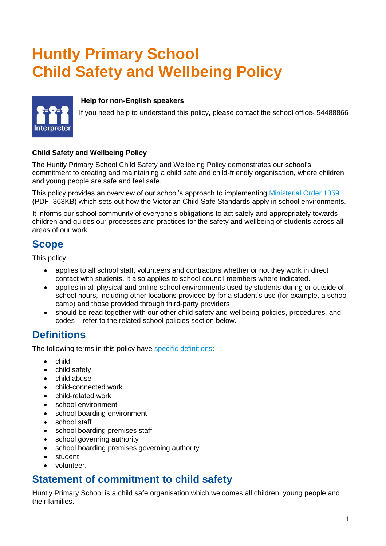# **Huntly Primary School Child Safety and Wellbeing Policy**



#### **Help for non-English speakers**

If you need help to understand this policy, please contact the school office- 54488866

#### **Child Safety and Wellbeing Policy**

The Huntly Primary School Child Safety and Wellbeing Policy demonstrates our school's commitment to creating and maintaining a child safe and child-friendly organisation, where children and young people are safe and feel safe.

This policy provides an overview of our school's approach to implementing [Ministerial Order 1359](https://www.education.vic.gov.au/Documents/about/programs/health/protect/Ministerial_Order.pdf) (PDF, 363KB) which sets out how the Victorian Child Safe Standards apply in school environments.

It informs our school community of everyone's obligations to act safely and appropriately towards children and guides our processes and practices for the safety and wellbeing of students across all areas of our work.

### **Scope**

This policy:

- applies to all school staff, volunteers and contractors whether or not they work in direct contact with students. It also applies to school council members where indicated.
- applies in all physical and online school environments used by students during or outside of school hours, including other locations provided by for a student's use (for example, a school camp) and those provided through third-party providers
- should be read together with our other child safety and wellbeing policies, procedures, and codes – refer to the related school policies section below.

# **Definitions**

The following terms in this policy have [specific definitions:](https://www.vic.gov.au/child-safe-standards-definitions)

- child
- child safety
- child abuse
- child-connected work
- child-related work
- school environment
- school boarding environment
- school staff
- school boarding premises staff
- school governing authority
- school boarding premises governing authority
- student
- volunteer.

### **Statement of commitment to child safety**

Huntly Primary School is a child safe organisation which welcomes all children, young people and their families.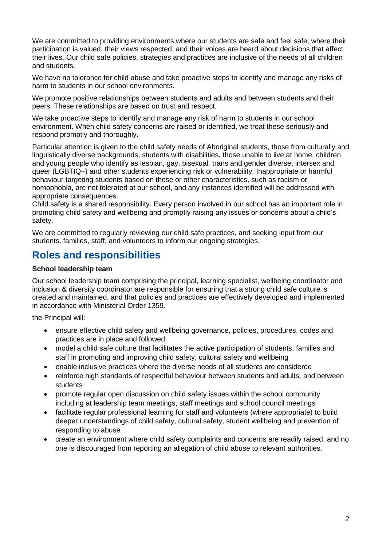We are committed to providing environments where our students are safe and feel safe, where their participation is valued, their views respected, and their voices are heard about decisions that affect their lives. Our child safe policies, strategies and practices are inclusive of the needs of all children and students.

We have no tolerance for child abuse and take proactive steps to identify and manage any risks of harm to students in our school environments.

We promote positive relationships between students and adults and between students and their peers. These relationships are based on trust and respect.

We take proactive steps to identify and manage any risk of harm to students in our school environment. When child safety concerns are raised or identified, we treat these seriously and respond promptly and thoroughly.

Particular attention is given to the child safety needs of Aboriginal students, those from culturally and linguistically diverse backgrounds, students with disabilities, those unable to live at home, children and young people who identify as lesbian, gay, bisexual, trans and gender diverse, intersex and queer (LGBTIQ+) and other students experiencing risk or vulnerability. Inappropriate or harmful behaviour targeting students based on these or other characteristics, such as racism or homophobia, are not tolerated at our school, and any instances identified will be addressed with appropriate consequences.

Child safety is a shared responsibility. Every person involved in our school has an important role in promoting child safety and wellbeing and promptly raising any issues or concerns about a child's safety.

We are committed to regularly reviewing our child safe practices, and seeking input from our students, families, staff, and volunteers to inform our ongoing strategies.

## **Roles and responsibilities**

#### **School leadership team**

Our school leadership team comprising the principal, learning specialist, wellbeing coordinator and inclusion & diversity coordinator are responsible for ensuring that a strong child safe culture is created and maintained, and that policies and practices are effectively developed and implemented in accordance with Ministerial Order 1359.

the Principal will:

- ensure effective child safety and wellbeing governance, policies, procedures, codes and practices are in place and followed
- model a child safe culture that facilitates the active participation of students, families and staff in promoting and improving child safety, cultural safety and wellbeing
- enable inclusive practices where the diverse needs of all students are considered
- reinforce high standards of respectful behaviour between students and adults, and between students
- promote regular open discussion on child safety issues within the school community including at leadership team meetings, staff meetings and school council meetings
- facilitate regular professional learning for staff and volunteers (where appropriate) to build deeper understandings of child safety, cultural safety, student wellbeing and prevention of responding to abuse
- create an environment where child safety complaints and concerns are readily raised, and no one is discouraged from reporting an allegation of child abuse to relevant authorities.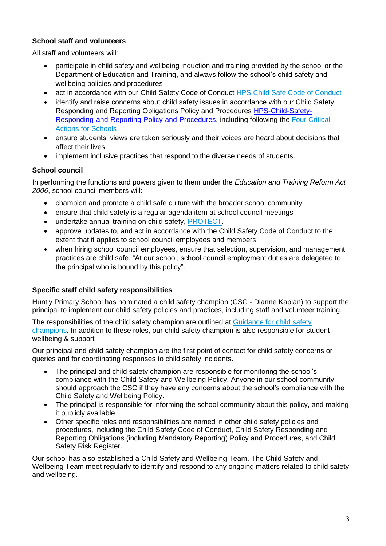### **School staff and volunteers**

All staff and volunteers will:

- participate in child safety and wellbeing induction and training provided by the school or the Department of Education and Training, and always follow the school's child safety and wellbeing policies and procedures
- act in accordance with our Child Safety Code of Conduct [HPS Child Safe Code of Conduct](http://www.huntly-ps.vic.edu.au/wordpress/wp-content/uploads/2022/03/HPS-Child-Safe-Code-of-Conduct.pdf)
- identify and raise concerns about child safety issues in accordance with our Child Safety Responding and Reporting Obligations Policy and Procedures [HPS-Child-Safety-](http://www.huntly-ps.vic.edu.au/wordpress/wp-content/uploads/2021/03/HPS-Child-Safety-Responding-and-Reporting-Policy-and-Procedures.pdf)[Responding-and-Reporting-Policy-and-Procedures,](http://www.huntly-ps.vic.edu.au/wordpress/wp-content/uploads/2021/03/HPS-Child-Safety-Responding-and-Reporting-Policy-and-Procedures.pdf) including following the [Four Critical](https://www.education.vic.gov.au/school/teachers/health/childprotection/Pages/report.aspx)  [Actions for Schools](https://www.education.vic.gov.au/school/teachers/health/childprotection/Pages/report.aspx)
- ensure students' views are taken seriously and their voices are heard about decisions that affect their lives
- implement inclusive practices that respond to the diverse needs of students.

### **School council**

In performing the functions and powers given to them under the *Education and Training Reform Act 2006*, school council members will:

- champion and promote a child safe culture with the broader school community
- ensure that child safety is a regular agenda item at school council meetings
- undertake annual training on child safety, [PROTECT.](http://www.vic.gov.au/protect)
- approve updates to, and act in accordance with the Child Safety Code of Conduct to the extent that it applies to school council employees and members
- when hiring school council employees, ensure that selection, supervision, and management practices are child safe. "At our school, school council employment duties are delegated to the principal who is bound by this policy".

### **Specific staff child safety responsibilities**

Huntly Primary School has nominated a child safety champion (CSC - Dianne Kaplan) to support the principal to implement our child safety policies and practices, including staff and volunteer training.

The responsibilities of the child safety champion are outlined at Guidance for child safety [champions.](https://www.vic.gov.au/guidance-child-safety-champions) In addition to these roles, our child safety champion is also responsible for student wellbeing & support

Our principal and child safety champion are the first point of contact for child safety concerns or queries and for coordinating responses to child safety incidents.

- The principal and child safety champion are responsible for monitoring the school's compliance with the Child Safety and Wellbeing Policy. Anyone in our school community should approach the CSC if they have any concerns about the school's compliance with the Child Safety and Wellbeing Policy.
- The principal is responsible for informing the school community about this policy, and making it publicly available
- Other specific roles and responsibilities are named in other child safety policies and procedures, including the Child Safety Code of Conduct, Child Safety Responding and Reporting Obligations (including Mandatory Reporting) Policy and Procedures, and Child Safety Risk Register.

Our school has also established a Child Safety and Wellbeing Team. The Child Safety and Wellbeing Team meet regularly to identify and respond to any ongoing matters related to child safety and wellbeing.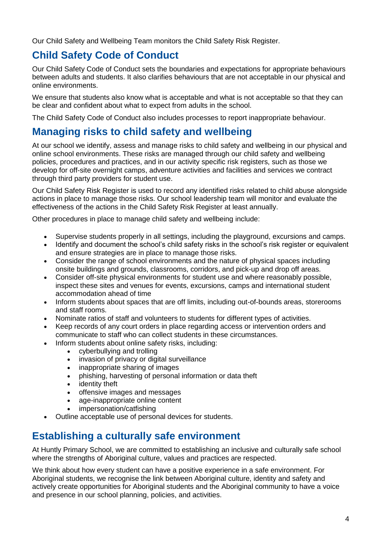Our Child Safety and Wellbeing Team monitors the Child Safety Risk Register.

# **Child Safety Code of Conduct**

Our Child Safety Code of Conduct sets the boundaries and expectations for appropriate behaviours between adults and students. It also clarifies behaviours that are not acceptable in our physical and online environments.

We ensure that students also know what is acceptable and what is not acceptable so that they can be clear and confident about what to expect from adults in the school.

The Child Safety Code of Conduct also includes processes to report inappropriate behaviour.

# **Managing risks to child safety and wellbeing**

At our school we identify, assess and manage risks to child safety and wellbeing in our physical and online school environments. These risks are managed through our child safety and wellbeing policies, procedures and practices, and in our activity specific risk registers, such as those we develop for off-site overnight camps, adventure activities and facilities and services we contract through third party providers for student use.

Our Child Safety Risk Register is used to record any identified risks related to child abuse alongside actions in place to manage those risks. Our school leadership team will monitor and evaluate the effectiveness of the actions in the Child Safety Risk Register at least annually.

Other procedures in place to manage child safety and wellbeing include:

- Supervise students properly in all settings, including the playground, excursions and camps.
- Identify and document the school's child safety risks in the school's risk register or equivalent and ensure strategies are in place to manage those risks.
- Consider the range of school environments and the nature of physical spaces including onsite buildings and grounds, classrooms, corridors, and pick-up and drop off areas.
- Consider off-site physical environments for student use and where reasonably possible, inspect these sites and venues for events, excursions, camps and international student accommodation ahead of time
- Inform students about spaces that are off limits, including out-of-bounds areas, storerooms and staff rooms.
- Nominate ratios of staff and volunteers to students for different types of activities.
- Keep records of any court orders in place regarding access or intervention orders and communicate to staff who can collect students in these circumstances.
- Inform students about online safety risks, including:
	- cyberbullying and trolling
	- invasion of privacy or digital surveillance
	- inappropriate sharing of images
	- phishing, harvesting of personal information or data theft
	- identity theft
	- offensive images and messages
	- age-inappropriate online content
	- impersonation/catfishing
- Outline acceptable use of personal devices for students.

## **Establishing a culturally safe environment**

At Huntly Primary School, we are committed to establishing an inclusive and culturally safe school where the strengths of Aboriginal culture, values and practices are respected.

We think about how every student can have a positive experience in a safe environment. For Aboriginal students, we recognise the link between Aboriginal culture, identity and safety and actively create opportunities for Aboriginal students and the Aboriginal community to have a voice and presence in our school planning, policies, and activities.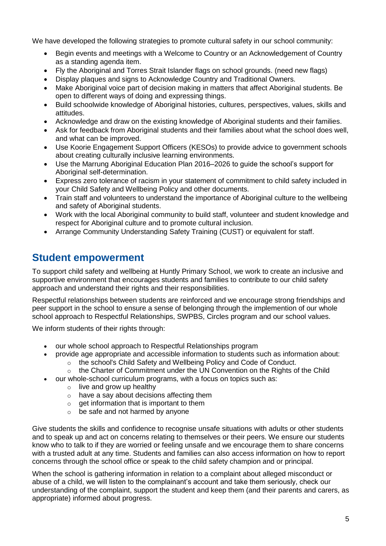We have developed the following strategies to promote cultural safety in our school community:

- Begin events and meetings with a Welcome to Country or an Acknowledgement of Country as a standing agenda item.
- Fly the Aboriginal and Torres Strait Islander flags on school grounds. (need new flags)
- Display plaques and signs to Acknowledge Country and Traditional Owners.
- Make Aboriginal voice part of decision making in matters that affect Aboriginal students. Be open to different ways of doing and expressing things.
- Build schoolwide knowledge of Aboriginal histories, cultures, perspectives, values, skills and attitudes.
- Acknowledge and draw on the existing knowledge of Aboriginal students and their families.
- Ask for feedback from Aboriginal students and their families about what the school does well, and what can be improved.
- Use [Koorie Engagement Support Officers](https://www.vic.gov.au/koorie-education-coordinator-contact-details) (KESOs) to provide advice to government schools about creating culturally inclusive learning environments.
- Use the [Marrung Aboriginal Education Plan 2016–2026](https://www.vic.gov.au/marrung) to guide the school's support for Aboriginal self-determination.
- Express zero tolerance of racism in your statement of commitment to child safety included in your Child Safety and Wellbeing Policy and other documents.
- Train staff and volunteers to understand the importance of Aboriginal culture to the wellbeing and safety of Aboriginal students.
- Work with the local Aboriginal community to build staff, volunteer and student knowledge and respect for Aboriginal culture and to promote cultural inclusion.
- Arrange [Community Understanding Safety Training](https://www.vaeai.org.au/community-understanding-safety-training-online-information-session/) (CUST) or equivalent for staff.

### **Student empowerment**

To support child safety and wellbeing at Huntly Primary School, we work to create an inclusive and supportive environment that encourages students and families to contribute to our child safety approach and understand their rights and their responsibilities.

Respectful relationships between students are reinforced and we encourage strong friendships and peer support in the school to ensure a sense of belonging through the implemention of our whole school approach to Respectful Relationships, SWPBS, Circles program and our school values.

We inform students of their rights through:

- our whole school approach to Respectful Relationships program
- provide age appropriate and accessible information to students such as information about:  $\circ$  the school's Child Safety and Wellbeing Policy and Code of Conduct.
	- $\circ$  the Charter of Commitment under the [UN Convention on the Rights of the](https://sites.unicef.org/rightsite/484_540.htm) Child
	- our whole-school curriculum programs, with a focus on topics such as:
		- $\circ$  live and grow up healthy
		- $\circ$  have a say about decisions affecting them
		- $\circ$  get information that is important to them
		- $\circ$  be safe and not harmed by anyone

Give students the skills and confidence to recognise unsafe situations with adults or other students and to speak up and act on concerns relating to themselves or their peers. We ensure our students know who to talk to if they are worried or feeling unsafe and we encourage them to share concerns with a trusted adult at any time. Students and families can also access information on how to report concerns through the school office or speak to the child safety champion and or principal.

When the school is gathering information in relation to a complaint about alleged misconduct or abuse of a child, we will listen to the complainant's account and take them seriously, check our understanding of the complaint, support the student and keep them (and their parents and carers, as appropriate) informed about progress.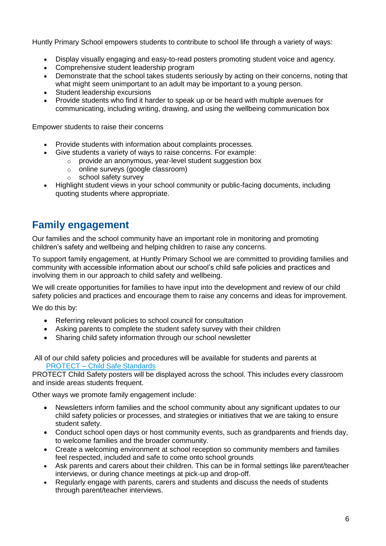Huntly Primary School empowers students to contribute to school life through a variety of ways:

- Display visually engaging and easy-to-read posters promoting student voice and agency.
- Comprehensive student leadership program
- Demonstrate that the school takes students seriously by acting on their concerns, noting that what might seem unimportant to an adult may be important to a young person.
- Student leadership excursions
- Provide students who find it harder to speak up or be heard with multiple avenues for communicating, including writing, drawing, and using the wellbeing communication box

Empower students to raise their concerns

- Provide students with information about complaints processes.
- Give students a variety of ways to raise concerns. For example:
	- o provide an anonymous, year-level student suggestion box
	- online surveys (google classroom)<br>○ school safetv survev
	- school safety survey
- Highlight student views in your school community or public-facing documents, including quoting students where appropriate.

# **Family engagement**

Our families and the school community have an important role in monitoring and promoting children's safety and wellbeing and helping children to raise any concerns.

To support family engagement, at Huntly Primary School we are committed to providing families and community with accessible information about our school's child safe policies and practices and involving them in our approach to child safety and wellbeing.

We will create opportunities for families to have input into the development and review of our child safety policies and practices and encourage them to raise any concerns and ideas for improvement.

We do this by:

- Referring relevant policies to school council for consultation
- Asking parents to complete the student safety survey with their children
- Sharing child safety information through our school newsletter

All of our child safety policies and procedures will be available for students and parents at PROTECT – [Child Safe Standards](http://www.huntly-ps.vic.edu.au/wordpress/?page_id=754) 

PROTECT Child Safety posters will be displayed across the school. This includes every classroom and inside areas students frequent.

Other ways we promote family engagement include:

- Newsletters inform families and the school community about any significant updates to our child safety policies or processes, and strategies or initiatives that we are taking to ensure student safety.
- Conduct school open days or host community events, such as grandparents and friends day, to welcome families and the broader community.
- Create a welcoming environment at school reception so community members and families feel respected, included and safe to come onto school grounds
- Ask parents and carers about their children. This can be in formal settings like parent/teacher interviews, or during chance meetings at pick-up and drop-off.
- Regularly engage with parents, carers and students and discuss the needs of students through parent/teacher interviews.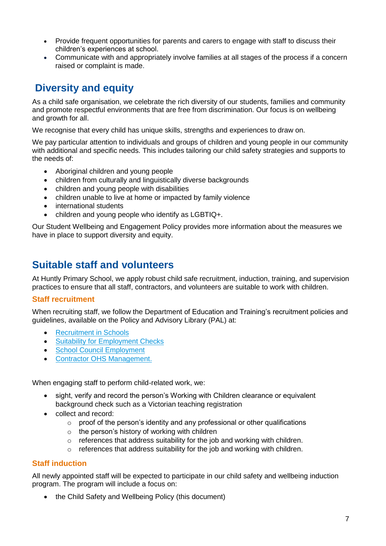- Provide frequent opportunities for parents and carers to engage with staff to discuss their children's experiences at school.
- Communicate with and appropriately involve families at all stages of the process if a concern raised or complaint is made.

# **Diversity and equity**

As a child safe organisation, we celebrate the rich diversity of our students, families and community and promote respectful environments that are free from discrimination. Our focus is on wellbeing and growth for all.

We recognise that every child has unique skills, strengths and experiences to draw on.

We pay particular attention to individuals and groups of children and young people in our community with additional and specific needs. This includes tailoring our child safety strategies and supports to the needs of:

- Aboriginal children and young people
- children from culturally and linguistically diverse backgrounds
- children and young people with disabilities
- children unable to live at home or impacted by family violence
- international students
- children and young people who identify as LGBTIQ+.

Our Student Wellbeing and Engagement Policy provides more information about the measures we have in place to support diversity and equity.

### **Suitable staff and volunteers**

At Huntly Primary School, we apply robust child safe recruitment, induction, training, and supervision practices to ensure that all staff, contractors, and volunteers are suitable to work with children.

#### **Staff recruitment**

When recruiting staff, we follow the Department of Education and Training's recruitment policies and guidelines, available on the Policy and Advisory Library (PAL) at:

- **[Recruitment in Schools](https://www2.education.vic.gov.au/pal/recruitment-schools/overview)**
- [Suitability for Employment Checks](https://www2.education.vic.gov.au/pal/suitability-employment-checks/overview)
- [School Council Employment](https://www2.education.vic.gov.au/pal/school-council-employment/overview)
- [Contractor OHS Management.](https://www2.education.vic.gov.au/pal/contractor-ohs-management/policy)

When engaging staff to perform child-related work, we:

- sight, verify and record the person's Working with Children clearance or equivalent background check such as a Victorian teaching registration
- collect and record:
	- $\circ$  proof of the person's identity and any professional or other qualifications
	- $\circ$  the person's history of working with children
	- $\circ$  references that address suitability for the job and working with children.
	- o references that address suitability for the job and working with children.

### **Staff induction**

All newly appointed staff will be expected to participate in our child safety and wellbeing induction program. The program will include a focus on:

• the Child Safety and Wellbeing Policy (this document)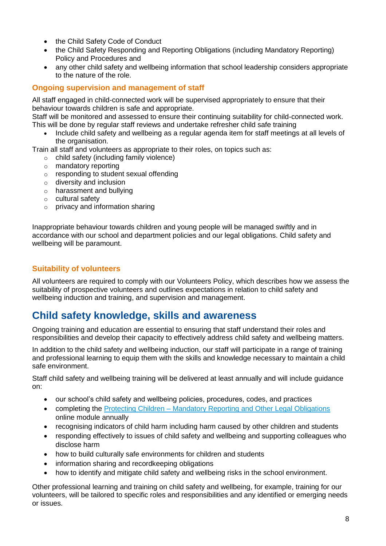- the Child Safety Code of Conduct
- the Child Safety Responding and Reporting Obligations (including Mandatory Reporting) Policy and Procedures and
- any other child safety and wellbeing information that school leadership considers appropriate to the nature of the role.

### **Ongoing supervision and management of staff**

All staff engaged in child-connected work will be supervised appropriately to ensure that their behaviour towards children is safe and appropriate.

Staff will be monitored and assessed to ensure their continuing suitability for child-connected work. This will be done by regular staff reviews and undertake refresher child safe training

• Include child safety and wellbeing as a regular agenda item for staff meetings at all levels of the organisation.

Train all staff and volunteers as appropriate to their roles, on topics such as:

- o child safety (including family violence)
- o mandatory reporting
- o responding to student sexual offending
- o diversity and inclusion
- o harassment and bullying
- o cultural safety
- $\circ$  privacy and information sharing

Inappropriate behaviour towards children and young people will be managed swiftly and in accordance with our school and department policies and our legal obligations. Child safety and wellbeing will be paramount.

### **Suitability of volunteers**

All volunteers are required to comply with our Volunteers Policy, which describes how we assess the suitability of prospective volunteers and outlines expectations in relation to child safety and wellbeing induction and training, and supervision and management.

## **Child safety knowledge, skills and awareness**

Ongoing training and education are essential to ensuring that staff understand their roles and responsibilities and develop their capacity to effectively address child safety and wellbeing matters.

In addition to the child safety and wellbeing induction, our staff will participate in a range of training and professional learning to equip them with the skills and knowledge necessary to maintain a child safe environment.

Staff child safety and wellbeing training will be delivered at least annually and will include guidance on:

- our school's child safety and wellbeing policies, procedures, codes, and practices
- completing the Protecting Children [Mandatory Reporting and Other](http://elearn.com.au/det/protectingchildren/) Legal Obligations online module annually
- recognising indicators of child harm including harm caused by other children and students
- responding effectively to issues of child safety and wellbeing and supporting colleagues who disclose harm
- how to build culturally safe environments for children and students
- information sharing and recordkeeping obligations
- how to identify and mitigate child safety and wellbeing risks in the school environment.

Other professional learning and training on child safety and wellbeing, for example, training for our volunteers, will be tailored to specific roles and responsibilities and any identified or emerging needs or issues.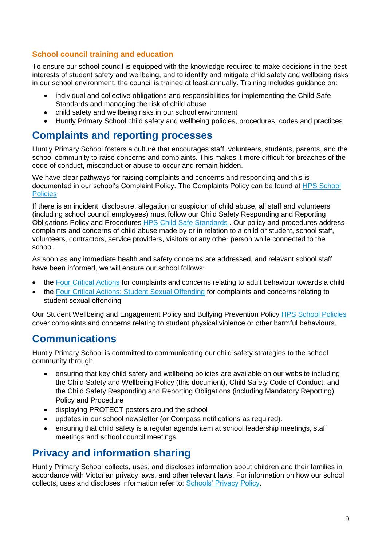### **School council training and education**

To ensure our school council is equipped with the knowledge required to make decisions in the best interests of student safety and wellbeing, and to identify and mitigate child safety and wellbeing risks in our school environment, the council is trained at least annually. Training includes guidance on:

- individual and collective obligations and responsibilities for implementing the Child Safe Standards and managing the risk of child abuse
- child safety and wellbeing risks in our school environment
- Huntly Primary School child safety and wellbeing policies, procedures, codes and practices

### **Complaints and reporting processes**

Huntly Primary School fosters a culture that encourages staff, volunteers, students, parents, and the school community to raise concerns and complaints. This makes it more difficult for breaches of the code of conduct, misconduct or abuse to occur and remain hidden.

We have clear pathways for raising complaints and concerns and responding and this is documented in our school's Complaint Policy. The Complaints Policy can be found at [HPS School](http://www.huntly-ps.vic.edu.au/wordpress/?page_id=161)  **Policies** 

If there is an incident, disclosure, allegation or suspicion of child abuse, all staff and volunteers (including school council employees) must follow our Child Safety Responding and Reporting Obligations Policy and Procedures **HPS Child Safe Standards**. Our policy and procedures address complaints and concerns of child abuse made by or in relation to a child or student, school staff, volunteers, contractors, service providers, visitors or any other person while connected to the school.

As soon as any immediate health and safety concerns are addressed, and relevant school staff have been informed, we will ensure our school follows:

- the [Four Critical Actions](https://www.education.vic.gov.au/Documents/about/programs/health/protect/FourCriticalActions_ChildAbuse.pdf) for complaints and concerns relating to adult behaviour towards a child
- the [Four Critical Actions: Student Sexual Offending](https://www.education.vic.gov.au/school/teachers/health/childprotection/Pages/stusexual.aspx) for complaints and concerns relating to student sexual offending

Our Student Wellbeing and Engagement Policy and Bullying Prevention Policy [HPS School Policies](http://www.huntly-ps.vic.edu.au/wordpress/?page_id=161)  cover complaints and concerns relating to student physical violence or other harmful behaviours.

# **Communications**

Huntly Primary School is committed to communicating our child safety strategies to the school community through:

- ensuring that key child safety and wellbeing policies are available on our website including the Child Safety and Wellbeing Policy (this document), Child Safety Code of Conduct, and the Child Safety Responding and Reporting Obligations (including Mandatory Reporting) Policy and Procedure
- displaying PROTECT posters around the school
- updates in our school newsletter (or Compass notifications as required).
- ensuring that child safety is a regular agenda item at school leadership meetings, staff meetings and school council meetings.

## **Privacy and information sharing**

Huntly Primary School collects, uses, and discloses information about children and their families in accordance with Victorian privacy laws, and other relevant laws. For information on how our school collects, uses and discloses information refer to: [Schools' Privacy Policy.](https://www.education.vic.gov.au/Pages/schoolsprivacypolicy.aspx)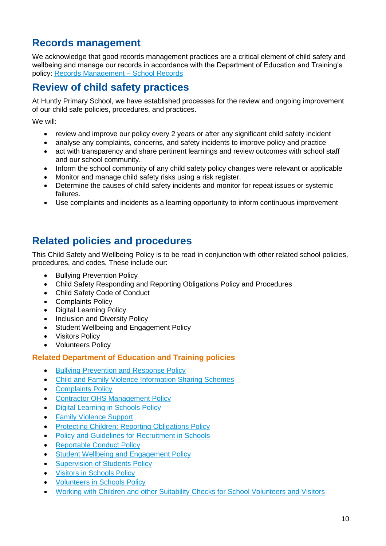# **Records management**

We acknowledge that good records management practices are a critical element of child safety and wellbeing and manage our records in accordance with the Department of Education and Training's policy: [Records Management –](https://www2.education.vic.gov.au/pal/records-management/policy) School Records

# **Review of child safety practices**

At Huntly Primary School, we have established processes for the review and ongoing improvement of our child safe policies, procedures, and practices.

We will:

- review and improve our policy every 2 years or after any significant child safety incident
- analyse any complaints, concerns, and safety incidents to improve policy and practice
- act with transparency and share pertinent learnings and review outcomes with school staff and our school community.
- Inform the school community of any child safety policy changes were relevant or applicable
- Monitor and manage child safety risks using a risk register.
- Determine the causes of child safety incidents and monitor for repeat issues or systemic failures.
- Use complaints and incidents as a learning opportunity to inform continuous improvement

## **Related policies and procedures**

This Child Safety and Wellbeing Policy is to be read in conjunction with other related school policies, procedures, and codes. These include our:

- Bullying Prevention Policy
- Child Safety Responding and Reporting Obligations Policy and Procedures
- Child Safety Code of Conduct
- Complaints Policy
- Digital Learning Policy
- **Inclusion and Diversity Policy**
- Student Wellbeing and Engagement Policy
- **Visitors Policy**
- Volunteers Policy

### **Related Department of Education and Training policies**

- [Bullying Prevention and Response Policy](https://www2.education.vic.gov.au/pal/bullying-prevention-response/policy)
- [Child and Family Violence Information Sharing Schemes](https://www2.education.vic.gov.au/pal/information-sharing-schemes/policy)
- **[Complaints Policy](https://www2.education.vic.gov.au/pal/complaints/policy)**
- [Contractor OHS Management Policy](https://www2.education.vic.gov.au/pal/contractor-ohs-management/policy)
- [Digital Learning in Schools Policy](https://www2.education.vic.gov.au/pal/digital-learning/policy)
- **Family Violence Support**
- [Protecting Children: Reporting Obligations Policy](https://www2.education.vic.gov.au/pal/protecting-children/policy)
- **Policy and [Guidelines for Recruitment in Schools](https://www2.education.vic.gov.au/pal/recruitment-schools/policy-and-guidelines)**
- [Reportable Conduct Policy](https://www2.education.vic.gov.au/pal/reportable-conduct-scheme/policy)
- Student [Wellbeing and Engagement Policy](https://www2.education.vic.gov.au/pal/student-engagement/policy)
- **[Supervision of Students Policy](https://www2.education.vic.gov.au/pal/supervision-students/policy)**
- [Visitors in Schools Policy](https://www2.education.vic.gov.au/pal/visitors/policy)
- [Volunteers in Schools Policy](https://www2.education.vic.gov.au/pal/volunteers/policy)
- [Working with Children and other Suitability Checks for School Volunteers and Visitors](https://www2.education.vic.gov.au/pal/suitability-checks/policy)